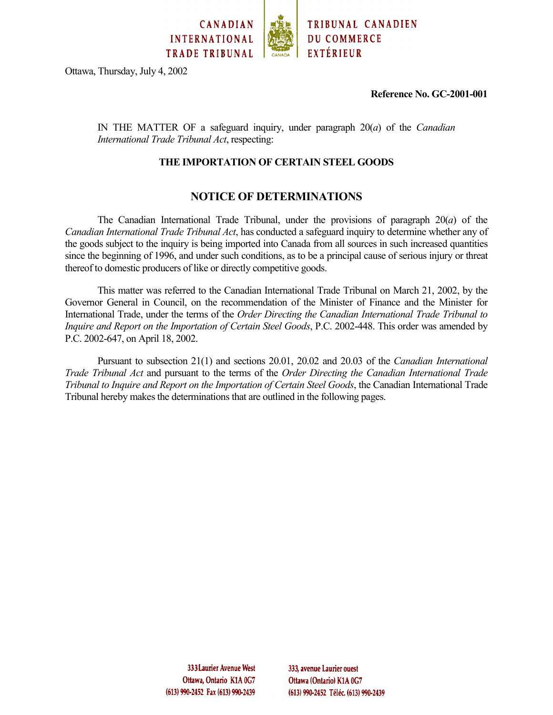

Ottawa, Thursday, July 4, 2002

**Reference No. GC-2001-001**

IN THE MATTER OF a safeguard inquiry, under paragraph 20(*a*) of the *Canadian International Trade Tribunal Act*, respecting:

#### **THE IMPORTATION OF CERTAIN STEEL GOODS**

# **NOTICE OF DETERMINATIONS**

The Canadian International Trade Tribunal, under the provisions of paragraph 20(*a*) of the *Canadian International Trade Tribunal Act*, has conducted a safeguard inquiry to determine whether any of the goods subject to the inquiry is being imported into Canada from all sources in such increased quantities since the beginning of 1996, and under such conditions, as to be a principal cause of serious injury or threat thereof to domestic producers of like or directly competitive goods.

This matter was referred to the Canadian International Trade Tribunal on March 21, 2002, by the Governor General in Council, on the recommendation of the Minister of Finance and the Minister for International Trade, under the terms of the *Order Directing the Canadian International Trade Tribunal to Inquire and Report on the Importation of Certain Steel Goods*, P.C. 2002-448. This order was amended by P.C. 2002-647, on April 18, 2002.

Pursuant to subsection 21(1) and sections 20.01, 20.02 and 20.03 of the *Canadian International Trade Tribunal Act* and pursuant to the terms of the *Order Directing the Canadian International Trade Tribunal to Inquire and Report on the Importation of Certain Steel Goods*, the Canadian International Trade Tribunal hereby makes the determinations that are outlined in the following pages.

> 333 Laurier Avenue West Ottawa, Ontario K1A 0G7 (613) 990-2452 Fax (613) 990-2439

333, avenue Laurier ouest Ottawa (Ontario) K1A 0G7 (613) 990-2452 Téléc. (613) 990-2439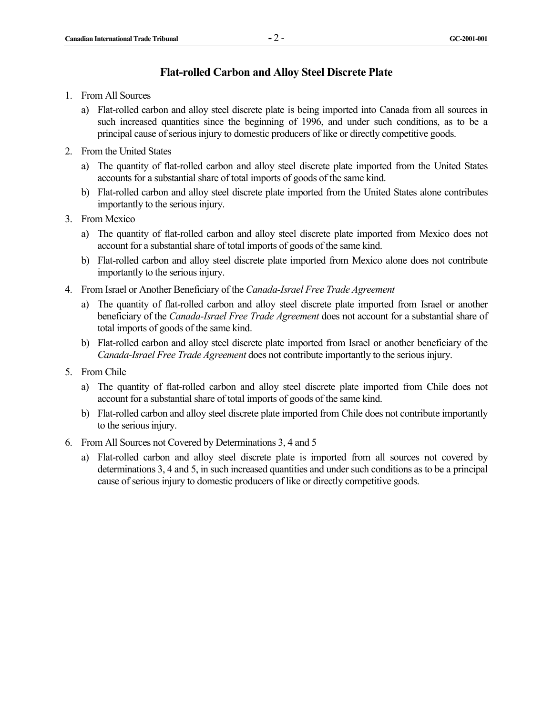#### **Flat-rolled Carbon and Alloy Steel Discrete Plate**

- 1. From All Sources
	- a) Flat-rolled carbon and alloy steel discrete plate is being imported into Canada from all sources in such increased quantities since the beginning of 1996, and under such conditions, as to be a principal cause of serious injury to domestic producers of like or directly competitive goods.
- 2. From the United States
	- a) The quantity of flat-rolled carbon and alloy steel discrete plate imported from the United States accounts for a substantial share of total imports of goods of the same kind.
	- b) Flat-rolled carbon and alloy steel discrete plate imported from the United States alone contributes importantly to the serious injury.
- 3. From Mexico
	- a) The quantity of flat-rolled carbon and alloy steel discrete plate imported from Mexico does not account for a substantial share of total imports of goods of the same kind.
	- b) Flat-rolled carbon and alloy steel discrete plate imported from Mexico alone does not contribute importantly to the serious injury.
- 4. From Israel or Another Beneficiary of the *Canada-Israel Free Trade Agreement*
	- a) The quantity of flat-rolled carbon and alloy steel discrete plate imported from Israel or another beneficiary of the *Canada-Israel Free Trade Agreement* does not account for a substantial share of total imports of goods of the same kind.
	- b) Flat-rolled carbon and alloy steel discrete plate imported from Israel or another beneficiary of the *Canada-Israel Free Trade Agreement* does not contribute importantly to the serious injury.
- 5. From Chile
	- a) The quantity of flat-rolled carbon and alloy steel discrete plate imported from Chile does not account for a substantial share of total imports of goods of the same kind.
	- b) Flat-rolled carbon and alloy steel discrete plate imported from Chile does not contribute importantly to the serious injury.
- 6. From All Sources not Covered by Determinations 3, 4 and 5
	- a) Flat-rolled carbon and alloy steel discrete plate is imported from all sources not covered by determinations 3, 4 and 5, in such increased quantities and under such conditions as to be a principal cause of serious injury to domestic producers of like or directly competitive goods.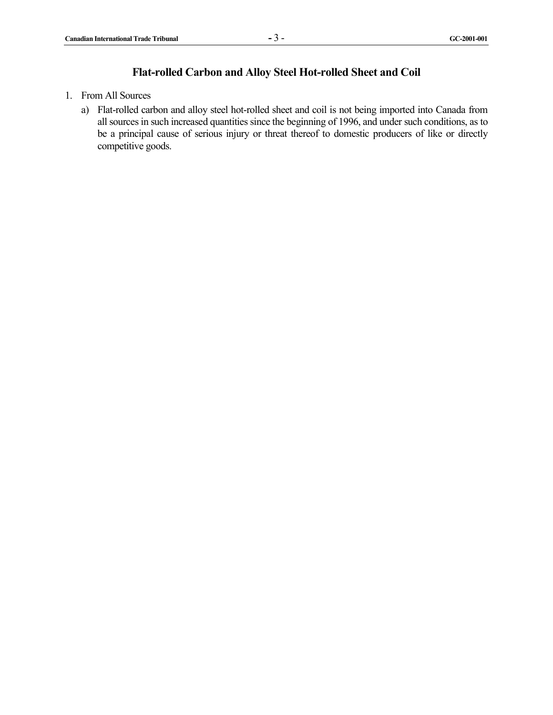# **Flat-rolled Carbon and Alloy Steel Hot-rolled Sheet and Coil**

- 1. From All Sources
	- a) Flat-rolled carbon and alloy steel hot-rolled sheet and coil is not being imported into Canada from all sources in such increased quantities since the beginning of 1996, and under such conditions, as to be a principal cause of serious injury or threat thereof to domestic producers of like or directly competitive goods.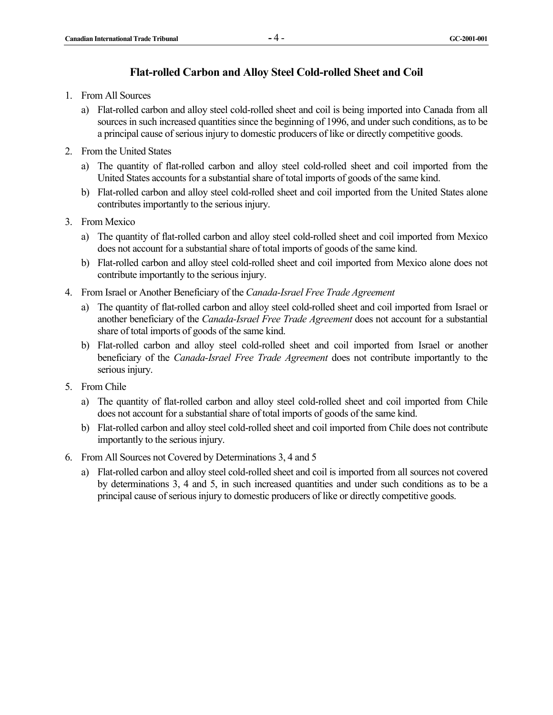# **Flat-rolled Carbon and Alloy Steel Cold-rolled Sheet and Coil**

- 1. From All Sources
	- a) Flat-rolled carbon and alloy steel cold-rolled sheet and coil is being imported into Canada from all sources in such increased quantities since the beginning of 1996, and under such conditions, as to be a principal cause of serious injury to domestic producers of like or directly competitive goods.
- 2. From the United States
	- a) The quantity of flat-rolled carbon and alloy steel cold-rolled sheet and coil imported from the United States accounts for a substantial share of total imports of goods of the same kind.
	- b) Flat-rolled carbon and alloy steel cold-rolled sheet and coil imported from the United States alone contributes importantly to the serious injury.
- 3. From Mexico
	- a) The quantity of flat-rolled carbon and alloy steel cold-rolled sheet and coil imported from Mexico does not account for a substantial share of total imports of goods of the same kind.
	- b) Flat-rolled carbon and alloy steel cold-rolled sheet and coil imported from Mexico alone does not contribute importantly to the serious injury.
- 4. From Israel or Another Beneficiary of the *Canada-Israel Free Trade Agreement*
	- a) The quantity of flat-rolled carbon and alloy steel cold-rolled sheet and coil imported from Israel or another beneficiary of the *Canada-Israel Free Trade Agreement* does not account for a substantial share of total imports of goods of the same kind.
	- b) Flat-rolled carbon and alloy steel cold-rolled sheet and coil imported from Israel or another beneficiary of the *Canada-Israel Free Trade Agreement* does not contribute importantly to the serious injury.
- 5. From Chile
	- a) The quantity of flat-rolled carbon and alloy steel cold-rolled sheet and coil imported from Chile does not account for a substantial share of total imports of goods of the same kind.
	- b) Flat-rolled carbon and alloy steel cold-rolled sheet and coil imported from Chile does not contribute importantly to the serious injury.
- 6. From All Sources not Covered by Determinations 3, 4 and 5
	- a) Flat-rolled carbon and alloy steel cold-rolled sheet and coil is imported from all sources not covered by determinations 3, 4 and 5, in such increased quantities and under such conditions as to be a principal cause of serious injury to domestic producers of like or directly competitive goods.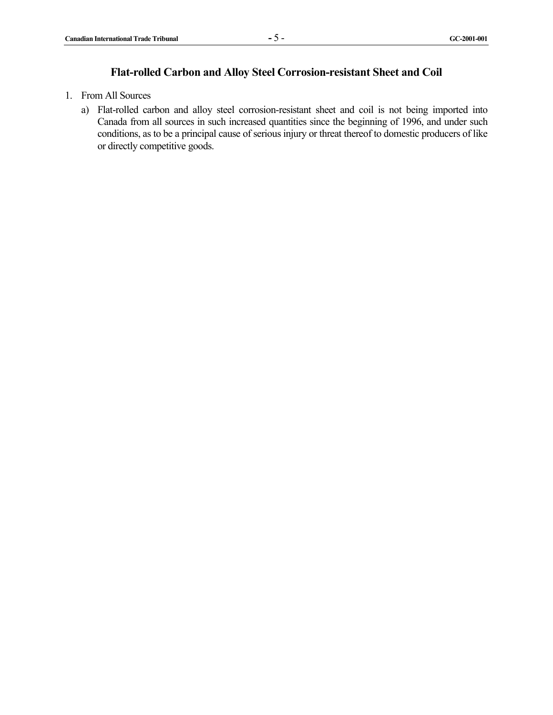# **Flat-rolled Carbon and Alloy Steel Corrosion-resistant Sheet and Coil**

- 1. From All Sources
	- a) Flat-rolled carbon and alloy steel corrosion-resistant sheet and coil is not being imported into Canada from all sources in such increased quantities since the beginning of 1996, and under such conditions, as to be a principal cause of serious injury or threat thereof to domestic producers of like or directly competitive goods.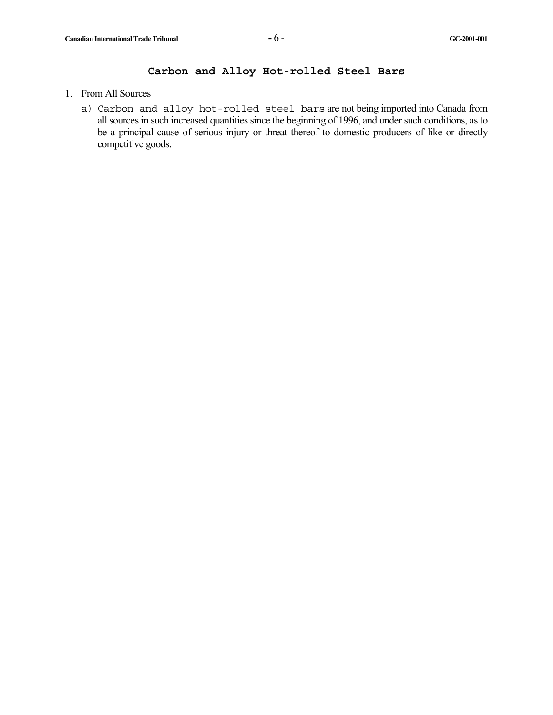# **Carbon and Alloy Hot-rolled Steel Bars**

- 1. From All Sources
	- a) Carbon and alloy hot-rolled steel bars are not being imported into Canada from all sources in such increased quantities since the beginning of 1996, and under such conditions, as to be a principal cause of serious injury or threat thereof to domestic producers of like or directly competitive goods.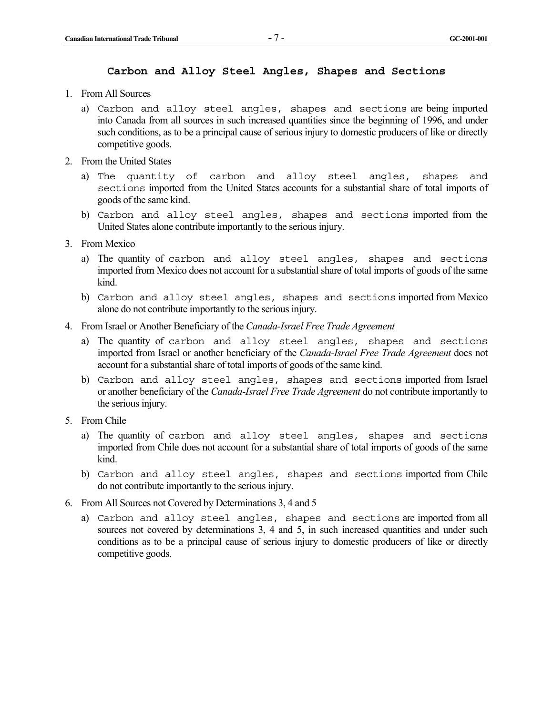#### **Carbon and Alloy Steel Angles, Shapes and Sections**

- 1. From All Sources
	- a) Carbon and alloy steel angles, shapes and sections are being imported into Canada from all sources in such increased quantities since the beginning of 1996, and under such conditions, as to be a principal cause of serious injury to domestic producers of like or directly competitive goods.
- 2. From the United States
	- a) The quantity of carbon and alloy steel angles, shapes and sections imported from the United States accounts for a substantial share of total imports of goods of the same kind.
	- b) Carbon and alloy steel angles, shapes and sections imported from the United States alone contribute importantly to the serious injury.
- 3. From Mexico
	- a) The quantity of carbon and alloy steel angles, shapes and sections imported from Mexico does not account for a substantial share of total imports of goods of the same kind.
	- b) Carbon and alloy steel angles, shapes and sections imported from Mexico alone do not contribute importantly to the serious injury.
- 4. From Israel or Another Beneficiary of the *Canada-Israel Free Trade Agreement*
	- a) The quantity of carbon and alloy steel angles, shapes and sections imported from Israel or another beneficiary of the *Canada-Israel Free Trade Agreement* does not account for a substantial share of total imports of goods of the same kind.
	- b) Carbon and alloy steel angles, shapes and sections imported from Israel or another beneficiary of the *Canada-Israel Free Trade Agreement* do not contribute importantly to the serious injury.
- 5. From Chile
	- a) The quantity of carbon and alloy steel angles, shapes and sections imported from Chile does not account for a substantial share of total imports of goods of the same kind.
	- b) Carbon and alloy steel angles, shapes and sections imported from Chile do not contribute importantly to the serious injury.
- 6. From All Sources not Covered by Determinations 3, 4 and 5
	- a) Carbon and alloy steel angles, shapes and sections are imported from all sources not covered by determinations 3, 4 and 5, in such increased quantities and under such conditions as to be a principal cause of serious injury to domestic producers of like or directly competitive goods.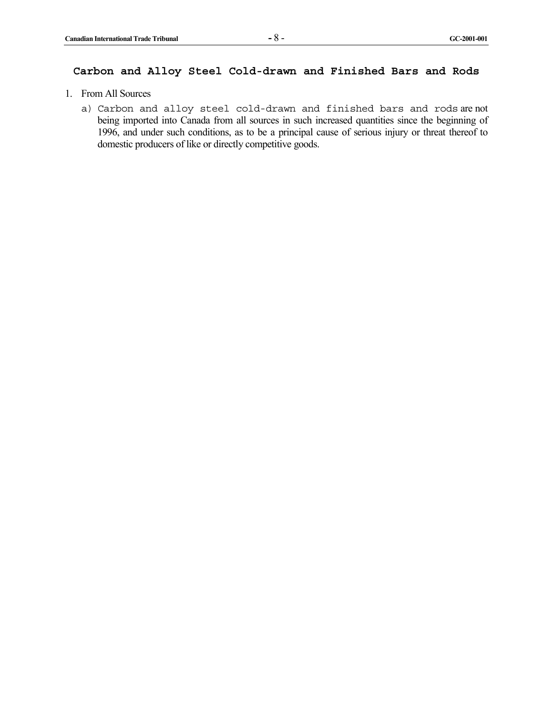# **Carbon and Alloy Steel Cold-drawn and Finished Bars and Rods**

- 1. From All Sources
	- a) Carbon and alloy steel cold-drawn and finished bars and rods are not being imported into Canada from all sources in such increased quantities since the beginning of 1996, and under such conditions, as to be a principal cause of serious injury or threat thereof to domestic producers of like or directly competitive goods.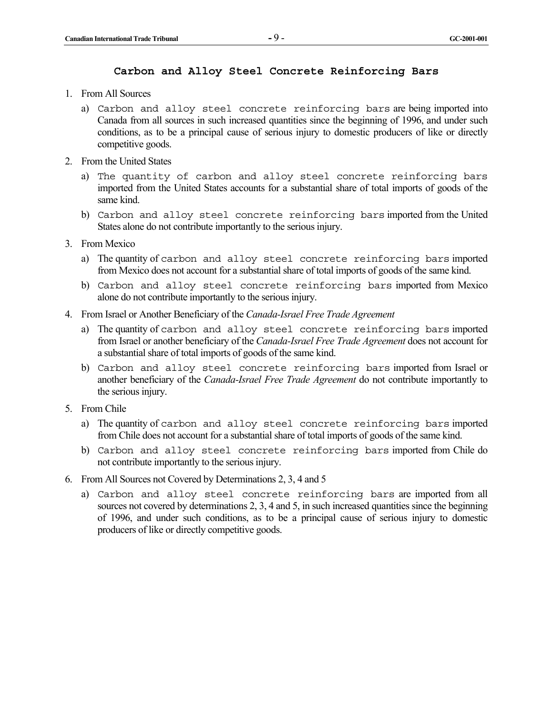#### **Carbon and Alloy Steel Concrete Reinforcing Bars**

- 1. From All Sources
	- a) Carbon and alloy steel concrete reinforcing bars are being imported into Canada from all sources in such increased quantities since the beginning of 1996, and under such conditions, as to be a principal cause of serious injury to domestic producers of like or directly competitive goods.
- 2. From the United States
	- a) The quantity of carbon and alloy steel concrete reinforcing bars imported from the United States accounts for a substantial share of total imports of goods of the same kind.
	- b) Carbon and alloy steel concrete reinforcing bars imported from the United States alone do not contribute importantly to the serious injury.
- 3. From Mexico
	- a) The quantity of carbon and alloy steel concrete reinforcing bars imported from Mexico does not account for a substantial share of total imports of goods of the same kind.
	- b) Carbon and alloy steel concrete reinforcing bars imported from Mexico alone do not contribute importantly to the serious injury.
- 4. From Israel or Another Beneficiary of the *Canada-Israel Free Trade Agreement*
	- a) The quantity of carbon and alloy steel concrete reinforcing bars imported from Israel or another beneficiary of the *Canada-Israel Free Trade Agreement* does not account for a substantial share of total imports of goods of the same kind.
	- b) Carbon and alloy steel concrete reinforcing bars imported from Israel or another beneficiary of the *Canada-Israel Free Trade Agreement* do not contribute importantly to the serious injury.
- 5. From Chile
	- a) The quantity of carbon and alloy steel concrete reinforcing bars imported from Chile does not account for a substantial share of total imports of goods of the same kind.
	- b) Carbon and alloy steel concrete reinforcing bars imported from Chile do not contribute importantly to the serious injury.
- 6. From All Sources not Covered by Determinations 2, 3, 4 and 5
	- a) Carbon and alloy steel concrete reinforcing bars are imported from all sources not covered by determinations 2, 3, 4 and 5, in such increased quantities since the beginning of 1996, and under such conditions, as to be a principal cause of serious injury to domestic producers of like or directly competitive goods.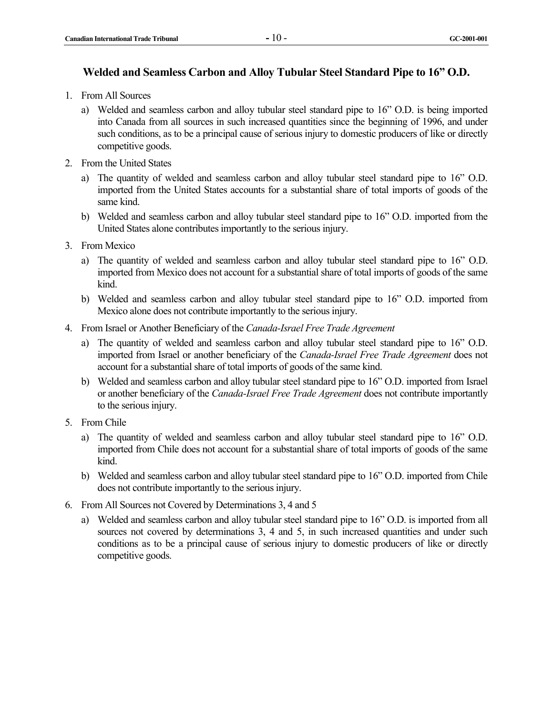#### **Welded and Seamless Carbon and Alloy Tubular Steel Standard Pipe to 16" O.D.**

- 1. From All Sources
	- a) Welded and seamless carbon and alloy tubular steel standard pipe to 16" O.D. is being imported into Canada from all sources in such increased quantities since the beginning of 1996, and under such conditions, as to be a principal cause of serious injury to domestic producers of like or directly competitive goods.
- 2. From the United States
	- a) The quantity of welded and seamless carbon and alloy tubular steel standard pipe to 16" O.D. imported from the United States accounts for a substantial share of total imports of goods of the same kind.
	- b) Welded and seamless carbon and alloy tubular steel standard pipe to 16" O.D. imported from the United States alone contributes importantly to the serious injury.
- 3. From Mexico
	- a) The quantity of welded and seamless carbon and alloy tubular steel standard pipe to 16" O.D. imported from Mexico does not account for a substantial share of total imports of goods of the same kind.
	- b) Welded and seamless carbon and alloy tubular steel standard pipe to 16" O.D. imported from Mexico alone does not contribute importantly to the serious injury.
- 4. From Israel or Another Beneficiary of the *Canada-Israel Free Trade Agreement*
	- a) The quantity of welded and seamless carbon and alloy tubular steel standard pipe to 16" O.D. imported from Israel or another beneficiary of the *Canada-Israel Free Trade Agreement* does not account for a substantial share of total imports of goods of the same kind.
	- b) Welded and seamless carbon and alloy tubular steel standard pipe to 16" O.D. imported from Israel or another beneficiary of the *Canada-Israel Free Trade Agreement* does not contribute importantly to the serious injury.
- 5. From Chile
	- a) The quantity of welded and seamless carbon and alloy tubular steel standard pipe to 16" O.D. imported from Chile does not account for a substantial share of total imports of goods of the same kind.
	- b) Welded and seamless carbon and alloy tubular steel standard pipe to 16" O.D. imported from Chile does not contribute importantly to the serious injury.
- 6. From All Sources not Covered by Determinations 3, 4 and 5
	- a) Welded and seamless carbon and alloy tubular steel standard pipe to 16" O.D. is imported from all sources not covered by determinations 3, 4 and 5, in such increased quantities and under such conditions as to be a principal cause of serious injury to domestic producers of like or directly competitive goods.